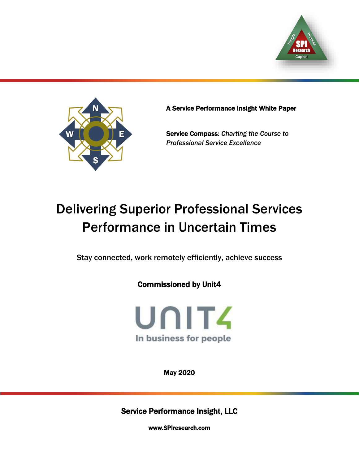



A Service Performance Insight White Paper

Service Compass: *Charting the Course to Professional Service Excellence*

# Delivering Superior Professional Services Performance in Uncertain Times

Stay connected, work remotely efficiently, achieve success

Commissioned by Unit4



May 2020

Service Performance Insight, LLC

[www.SPIresearch.com](http://www.spiresearch.com/)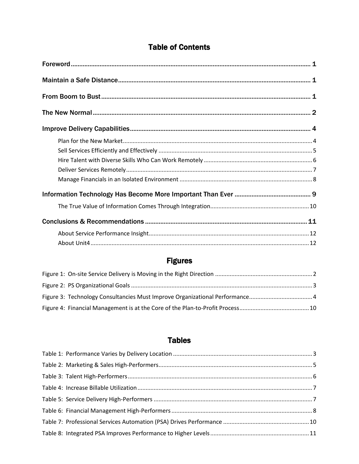# **Table of Contents**

# **Figures**

# **Tables**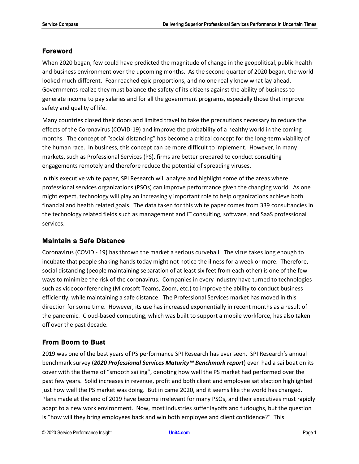# <span id="page-2-0"></span>Foreword

When 2020 began, few could have predicted the magnitude of change in the geopolitical, public health and business environment over the upcoming months. As the second quarter of 2020 began, the world looked much different. Fear reached epic proportions, and no one really knew what lay ahead. Governments realize they must balance the safety of its citizens against the ability of business to generate income to pay salaries and for all the government programs, especially those that improve safety and quality of life.

Many countries closed their doors and limited travel to take the precautions necessary to reduce the effects of the Coronavirus (COVID-19) and improve the probability of a healthy world in the coming months. The concept of "social distancing" has become a critical concept for the long-term viability of the human race. In business, this concept can be more difficult to implement. However, in many markets, such as Professional Services (PS), firms are better prepared to conduct consulting engagements remotely and therefore reduce the potential of spreading viruses.

In this executive white paper, SPI Research will analyze and highlight some of the areas where professional services organizations (PSOs) can improve performance given the changing world. As one might expect, technology will play an increasingly important role to help organizations achieve both financial and health related goals. The data taken for this white paper comes from 339 consultancies in the technology related fields such as management and IT consulting, software, and SaaS professional services.

## <span id="page-2-1"></span>Maintain a Safe Distance

Coronavirus (COVID - 19) has thrown the market a serious curveball. The virus takes long enough to incubate that people shaking hands today might not notice the illness for a week or more. Therefore, social distancing (people maintaining separation of at least six feet from each other) is one of the few ways to minimize the risk of the coronavirus. Companies in every industry have turned to technologies such as videoconferencing (Microsoft Teams, Zoom, etc.) to improve the ability to conduct business efficiently, while maintaining a safe distance. The Professional Services market has moved in this direction for some time. However, its use has increased exponentially in recent months as a result of the pandemic. Cloud-based computing, which was built to support a mobile workforce, has also taken off over the past decade.

# <span id="page-2-2"></span>From Boom to Bust

2019 was one of the best years of PS performance SPI Research has ever seen. SPI Research's annual benchmark survey (*2020 Professional Services Maturity™ Benchmark report*) even had a sailboat on its cover with the theme of "smooth sailing", denoting how well the PS market had performed over the past few years. Solid increases in revenue, profit and both client and employee satisfaction highlighted just how well the PS market was doing. But in came 2020, and it seems like the world has changed. Plans made at the end of 2019 have become irrelevant for many PSOs, and their executives must rapidly adapt to a new work environment. Now, most industries suffer layoffs and furloughs, but the question is "how will they bring employees back and win both employee and client confidence?" This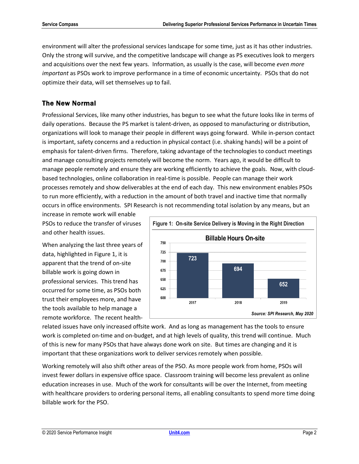environment will alter the professional services landscape for some time, just as it has other industries. Only the strong will survive, and the competitive landscape will change as PS executives look to mergers and acquisitions over the next few years. Information, as usually is the case, will become *even more important* as PSOs work to improve performance in a time of economic uncertainty. PSOs that do not optimize their data, will set themselves up to fail.

# <span id="page-3-0"></span>The New Normal

Professional Services, like many other industries, has begun to see what the future looks like in terms of daily operations. Because the PS market is talent-driven, as opposed to manufacturing or distribution, organizations will look to manage their people in different ways going forward. While in-person contact is important, safety concerns and a reduction in physical contact (i.e. shaking hands) will be a point of emphasis for talent-driven firms. Therefore, taking advantage of the technologies to conduct meetings and manage consulting projects remotely will become the norm. Years ago, it would be difficult to manage people remotely and ensure they are working efficiently to achieve the goals. Now, with cloudbased technologies, online collaboration in real-time is possible. People can manage their work processes remotely and show deliverables at the end of each day. This new environment enables PSOs to run more efficiently, with a reduction in the amount of both travel and inactive time that normally occurs in office environments. SPI Research is not recommending total isolation by any means, but an

increase in remote work will enable PSOs to reduce the transfer of viruses and other health issues.

When analyzing the last three years of data, highlighted in Figure 1, it is apparent that the trend of on-site billable work is going down in professional services. This trend has occurred for some time, as PSOs both trust their employees more, and have the tools available to help manage a remote workforce. The recent health-

<span id="page-3-1"></span>

related issues have only increased offsite work. And as long as management has the tools to ensure work is completed on-time and on-budget, and at high levels of quality, this trend will continue. Much of this is new for many PSOs that have always done work on site. But times are changing and it is important that these organizations work to deliver services remotely when possible.

Working remotely will also shift other areas of the PSO. As more people work from home, PSOs will invest fewer dollars in expensive office space. Classroom training will become less prevalent as online education increases in use. Much of the work for consultants will be over the Internet, from meeting with healthcare providers to ordering personal items, all enabling consultants to spend more time doing billable work for the PSO.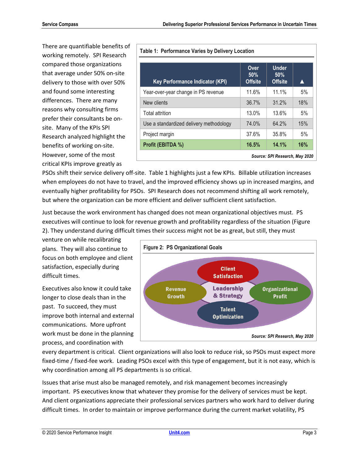There are quantifiable benefits of working remotely. SPI Research compared those organizations that average under 50% on-site delivery to those with over 50% and found some interesting differences. There are many reasons why consulting firms prefer their consultants be onsite. Many of the KPIs SPI Research analyzed highlight the benefits of working on-site. However, some of the most critical KPIs improve greatly as

<span id="page-4-1"></span>

| Table 1: Performance Varies by Delivery Location |                               |                                       |     |  |
|--------------------------------------------------|-------------------------------|---------------------------------------|-----|--|
| <b>Key Performance Indicator (KPI)</b>           | Over<br>50%<br><b>Offsite</b> | <b>Under</b><br>50%<br><b>Offsite</b> |     |  |
| Year-over-year change in PS revenue              | 11.6%                         | 11.1%                                 | 5%  |  |
| New clients                                      | 36.7%                         | 31.2%                                 | 18% |  |
| <b>Total attrition</b>                           | 13.0%                         | 13.6%                                 | 5%  |  |
| Use a standardized delivery methodology          | 74.0%                         | 64.2%                                 | 15% |  |
| Project margin                                   | 37.6%                         | 35.8%                                 | 5%  |  |
| Profit (EBITDA %)                                | 16.5%                         | 14.1%                                 | 16% |  |
| Source: SPI Research, May 2020                   |                               |                                       |     |  |

PSOs shift their service delivery off-site. Table 1 highlights just a few KPIs. Billable utilization increases when employees do not have to travel, and the improved efficiency shows up in increased margins, and eventually higher profitability for PSOs. SPI Research does not recommend shifting all work remotely, but where the organization can be more efficient and deliver sufficient client satisfaction.

Just because the work environment has changed does not mean organizational objectives must. PS executives will continue to look for revenue growth and profitability regardless of the situation (Figure 2). They understand during difficult times their success might not be as great, but still, they must

venture on while recalibrating plans. They will also continue to focus on both employee and client satisfaction, especially during difficult times.

Executives also know it could take longer to close deals than in the past. To succeed, they must improve both internal and external communications. More upfront work must be done in the planning process, and coordination with

<span id="page-4-0"></span>

every department is critical. Client organizations will also look to reduce risk, so PSOs must expect more fixed-time / fixed-fee work. Leading PSOs excel with this type of engagement, but it is not easy, which is why coordination among all PS departments is so critical.

Issues that arise must also be managed remotely, and risk management becomes increasingly important. PS executives know that whatever they promise for the delivery of services must be kept. And client organizations appreciate their professional services partners who work hard to deliver during difficult times. In order to maintain or improve performance during the current market volatility, PS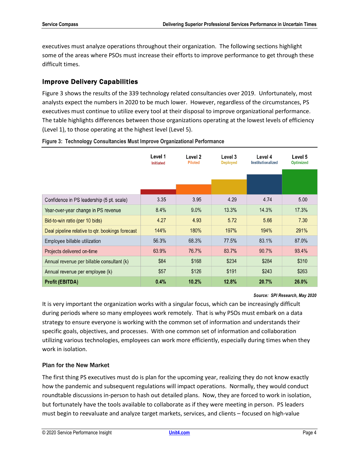executives must analyze operations throughout their organization. The following sections highlight some of the areas where PSOs must increase their efforts to improve performance to get through these difficult times.

## <span id="page-5-0"></span>Improve Delivery Capabilities

Figure 3 shows the results of the 339 technology related consultancies over 2019. Unfortunately, most analysts expect the numbers in 2020 to be much lower. However, regardless of the circumstances, PS executives must continue to utilize every tool at their disposal to improve organizational performance. The table highlights differences between those organizations operating at the lowest levels of efficiency (Level 1), to those operating at the highest level (Level 5).

|                                                  | Level 1<br><b>Initiated</b> | Level 2<br><b>Piloted</b> | Level 3<br><b>Deployed</b> | Level 4<br>Institutionalized | Level 5<br><b>Optimized</b> |
|--------------------------------------------------|-----------------------------|---------------------------|----------------------------|------------------------------|-----------------------------|
|                                                  |                             |                           |                            |                              |                             |
|                                                  |                             |                           |                            |                              |                             |
| Confidence in PS leadership (5 pt. scale)        | 3.35                        | 3.95                      | 4.29                       | 4.74                         | 5.00                        |
| Year-over-year change in PS revenue              | $8.4\%$                     | $9.0\%$                   | 13.3%                      | 14.3%                        | 17.3%                       |
| Bid-to-win ratio (per 10 bids)                   | 4.27                        | 4.93                      | 5.72                       | 5.66                         | 7.30                        |
| Deal pipeline relative to qtr. bookings forecast | 144%                        | <b>180%</b>               | 197%                       | 194%                         | 291%                        |
| Employee billable utilization                    | 56.3%                       | 68.3%                     | 77.5%                      | 83.1%                        | 87.0%                       |
| Projects delivered on-time                       | 63.9%                       | 76.7%                     | 83.7%                      | 90.7%                        | 93.4%                       |
| Annual revenue per billable consultant (k)       | \$84                        | \$168                     | \$234                      | \$284                        | \$310                       |
| Annual revenue per employee (k)                  | \$57                        | \$126                     | \$191                      | \$243                        | \$263                       |
| <b>Profit (EBITDA)</b>                           | 0.4%                        | 10.2%                     | 12.8%                      | 20.7%                        | 26.0%                       |

#### <span id="page-5-2"></span>**Figure 3: Technology Consultancies Must Improve Organizational Performance**

#### *Source: SPI Research, May 2020*

It is very important the organization works with a singular focus, which can be increasingly difficult during periods where so many employees work remotely. That is why PSOs must embark on a data strategy to ensure everyone is working with the common set of information and understands their specific goals, objectives, and processes. With one common set of information and collaboration utilizing various technologies, employees can work more efficiently, especially during times when they work in isolation.

#### <span id="page-5-1"></span>Plan for the New Market

The first thing PS executives must do is plan for the upcoming year, realizing they do not know exactly how the pandemic and subsequent regulations will impact operations. Normally, they would conduct roundtable discussions in-person to hash out detailed plans. Now, they are forced to work in isolation, but fortunately have the tools available to collaborate as if they were meeting in person. PS leaders must begin to reevaluate and analyze target markets, services, and clients – focused on high-value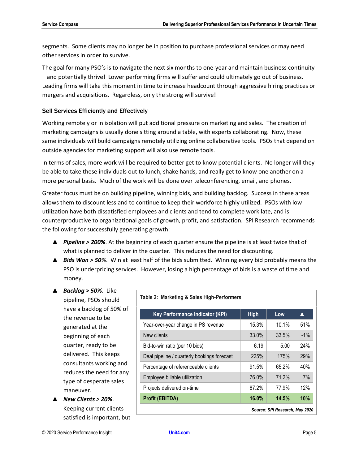segments. Some clients may no longer be in position to purchase professional services or may need other services in order to survive.

The goal for many PSO's is to navigate the next six months to one-year and maintain business continuity – and potentially thrive! Lower performing firms will suffer and could ultimately go out of business. Leading firms will take this moment in time to increase headcount through aggressive hiring practices or mergers and acquisitions. Regardless, only the strong will survive!

#### <span id="page-6-0"></span>Sell Services Efficiently and Effectively

Working remotely or in isolation will put additional pressure on marketing and sales. The creation of marketing campaigns is usually done sitting around a table, with experts collaborating. Now, these same individuals will build campaigns remotely utilizing online collaborative tools. PSOs that depend on outside agencies for marketing support will also use remote tools.

In terms of sales, more work will be required to better get to know potential clients. No longer will they be able to take these individuals out to lunch, shake hands, and really get to know one another on a more personal basis. Much of the work will be done over teleconferencing, email, and phones.

Greater focus must be on building pipeline, winning bids, and building backlog. Success in these areas allows them to discount less and to continue to keep their workforce highly utilized. PSOs with low utilization have both dissatisfied employees and clients and tend to complete work late, and is counterproductive to organizational goals of growth, profit, and satisfaction. SPI Research recommends the following for successfully generating growth:

- ▲ *Pipeline > 200%*. At the beginning of each quarter ensure the pipeline is at least twice that of what is planned to deliver in the quarter. This reduces the need for discounting.
- ▲ *Bids Won > 50%*. Win at least half of the bids submitted. Winning every bid probably means the PSO is underpricing services. However, losing a high percentage of bids is a waste of time and money.
- ▲ *Backlog > 50%*. Like pipeline, PSOs should have a backlog of 50% of the revenue to be generated at the beginning of each quarter, ready to be delivered. This keeps consultants working and reduces the need for any type of desperate sales maneuver.
- ▲ *New Clients > 20%*. Keeping current clients satisfied is important, but

<span id="page-6-1"></span>

| <b>Key Performance Indicator (KPI)</b>      | <b>High</b> | Low   | A      |
|---------------------------------------------|-------------|-------|--------|
| Year-over-year change in PS revenue         | 15.3%       | 10.1% | 51%    |
| New clients                                 | 33.0%       | 33.5% | $-1\%$ |
| Bid-to-win ratio (per 10 bids)              | 6.19        | 5.00  | 24%    |
| Deal pipeline / quarterly bookings forecast | 225%        | 175%  | 29%    |
| Percentage of referenceable clients         | 91.5%       | 65.2% | 40%    |
| Employee billable utilization               | 76.0%       | 71.2% | 7%     |
| Projects delivered on-time                  | 87.2%       | 77.9% | 12%    |
| <b>Profit (EBITDA)</b>                      | 16.0%       | 14.5% | 10%    |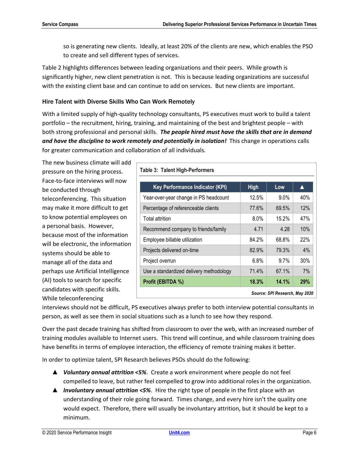so is generating new clients. Ideally, at least 20% of the clients are new, which enables the PSO to create and sell different types of services.

Table 2 highlights differences between leading organizations and their peers. While growth is significantly higher, new client penetration is not. This is because leading organizations are successful with the existing client base and can continue to add on services. But new clients are important.

#### <span id="page-7-0"></span>Hire Talent with Diverse Skills Who Can Work Remotely

With a limited supply of high-quality technology consultants, PS executives must work to build a talent portfolio – the recruitment, hiring, training, and maintaining of the best and brightest people – with both strong professional and personal skills. *The people hired must have the skills that are in demand and have the discipline to work remotely and potentially in isolation!* This change in operations calls for greater communication and collaboration of all individuals.

The new business climate will add pressure on the hiring process. Face-to-face interviews will now be conducted through teleconferencing. This situation may make it more difficult to get to know potential employees on a personal basis. However, because most of the information will be electronic, the information systems should be able to manage all of the data and perhaps use Artificial Intelligence (AI) tools to search for specific candidates with specific skills. While teleconferencing

<span id="page-7-1"></span>

| <b>Table 3: Talent High-Performers</b>  |             |                                |                  |
|-----------------------------------------|-------------|--------------------------------|------------------|
| <b>Key Performance Indicator (KPI)</b>  | <b>High</b> | Low                            | $\blacktriangle$ |
| Year-over-year change in PS headcount   | 12.5%       | $9.0\%$                        | 40%              |
| Percentage of referenceable clients     | 77.6%       | 69.5%                          | 12%              |
| Total attrition                         | $8.0\%$     | 15.2%                          | 47%              |
| Recommend company to friends/family     | 4.71        | 4.28                           | 10%              |
| Employee billable utilization           | 84.2%       | 68.8%                          | 22%              |
| Projects delivered on-time              | 82.9%       | 79.3%                          | 4%               |
| Project overrun                         | 6.8%        | 9.7%                           | 30%              |
| Use a standardized delivery methodology | 71.4%       | 67.1%                          | 7%               |
| Profit (EBITDA %)                       | 18.3%       | 14.1%                          | 29%              |
|                                         |             | Source: SPI Research, May 2020 |                  |

interviews should not be difficult, PS executives always prefer to both interview potential consultants in person, as well as see them in social situations such as a lunch to see how they respond.

Over the past decade training has shifted from classroom to over the web, with an increased number of training modules available to Internet users. This trend will continue, and while classroom training does have benefits in terms of employee interaction, the efficiency of remote training makes it better.

In order to optimize talent, SPI Research believes PSOs should do the following:

- ▲ *Voluntary annual attrition <5%*. Create a work environment where people do not feel compelled to leave, but rather feel compelled to grow into additional roles in the organization.
- ▲ *Involuntary annual attrition <5%*. Hire the right type of people in the first place with an understanding of their role going forward. Times change, and every hire isn't the quality one would expect. Therefore, there will usually be involuntary attrition, but it should be kept to a minimum.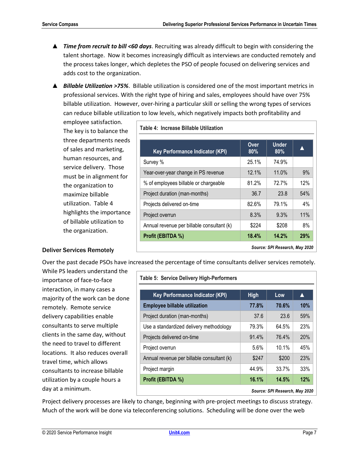- ▲ *Time from recruit to bill <60 days*. Recruiting was already difficult to begin with considering the talent shortage. Now it becomes increasingly difficult as interviews are conducted remotely and the process takes longer, which depletes the PSO of people focused on delivering services and adds cost to the organization.
- ▲ *Billable Utilization >75%*. Billable utilization is considered one of the most important metrics in professional services. With the right type of hiring and sales, employees should have over 75% billable utilization. However, over-hiring a particular skill or selling the wrong types of services can reduce billable utilization to low levels, which negatively impacts both profitability and

employee satisfaction. The key is to balance the three departments needs of sales and marketing, human resources, and service delivery. Those must be in alignment for the organization to maximize billable utilization. Table 4 highlights the importance of billable utilization to the organization.

<span id="page-8-1"></span>

| Table 4: Increase Billable Utilization     |             |                        |       |
|--------------------------------------------|-------------|------------------------|-------|
| <b>Key Performance Indicator (KPI)</b>     | Over<br>80% | <b>Under</b><br>$80\%$ |       |
| Survey %                                   | 25.1%       | 74.9%                  |       |
| Year-over-year change in PS revenue        | 12.1%       | 11.0%                  | 9%    |
| % of employees billable or chargeable      | 81.2%       | 72.7%                  | 12%   |
| Project duration (man-months)              | 36.7        | 23.8                   | 54%   |
| Projects delivered on-time                 | 82.6%       | 79.1%                  | $4\%$ |
| Project overrun                            | 8.3%        | 9.3%                   | 11%   |
| Annual revenue per billable consultant (k) | \$224       | \$208                  | 8%    |
| Profit (EBITDA %)                          | 18.4%       | 14.2%                  | 29%   |

#### <span id="page-8-0"></span>Deliver Services Remotely

Over the past decade PSOs have increased the percentage of time consultants deliver services remotely.

While PS leaders understand the importance of face-to-face interaction, in many cases a majority of the work can be done remotely. Remote service delivery capabilities enable consultants to serve multiple clients in the same day, without the need to travel to different locations. It also reduces overall travel time, which allows consultants to increase billable utilization by a couple hours a day at a minimum.

<span id="page-8-2"></span>

| <b>High</b> | Low      | $\blacktriangle$               |
|-------------|----------|--------------------------------|
|             |          |                                |
| 77.8%       | 70.6%    | 10%                            |
| 37.6        | 23.6     | 59%                            |
| 79.3%       | 64.5%    | 23%                            |
| 91.4%       | 76.4%    | 20%                            |
| $5.6\%$     | $10.1\%$ | 45%                            |
| \$247       | \$200    | 23%                            |
| 44.9%       | 33.7%    | 33%                            |
| 16.1%       | 14.5%    | 12%                            |
|             |          | Source: SPI Research. May 2020 |

Project delivery processes are likely to change, beginning with pre-project meetings to discuss strategy. Much of the work will be done via teleconferencing solutions. Scheduling will be done over the web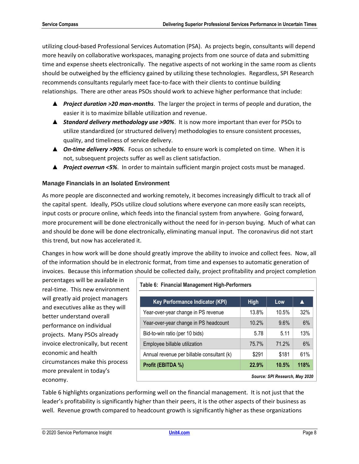utilizing cloud-based Professional Services Automation (PSA). As projects begin, consultants will depend more heavily on collaborative workspaces, managing projects from one source of data and submitting time and expense sheets electronically. The negative aspects of not working in the same room as clients should be outweighed by the efficiency gained by utilizing these technologies. Regardless, SPI Research recommends consultants regularly meet face-to-face with their clients to continue building relationships. There are other areas PSOs should work to achieve higher performance that include:

- ▲ *Project duration >20 man-months*. The larger the project in terms of people and duration, the easier it is to maximize billable utilization and revenue.
- ▲ *Standard delivery methodology use >90%*. It is now more important than ever for PSOs to utilize standardized (or structured delivery) methodologies to ensure consistent processes, quality, and timeliness of service delivery.
- ▲ *On-time delivery >90%*. Focus on schedule to ensure work is completed on time. When it is not, subsequent projects suffer as well as client satisfaction.
- ▲ *Project overrun <5%*. In order to maintain sufficient margin project costs must be managed.

## <span id="page-9-0"></span>Manage Financials in an Isolated Environment

As more people are disconnected and working remotely, it becomes increasingly difficult to track all of the capital spent. Ideally, PSOs utilize cloud solutions where everyone can more easily scan receipts, input costs or procure online, which feeds into the financial system from anywhere. Going forward, more procurement will be done electronically without the need for in-person buying. Much of what can and should be done will be done electronically, eliminating manual input. The coronavirus did not start this trend, but now has accelerated it.

Changes in how work will be done should greatly improve the ability to invoice and collect fees. Now, all of the information should be in electronic format, from time and expenses to automatic generation of invoices. Because this information should be collected daily, project profitability and project completion

percentages will be available in real-time. This new environment will greatly aid project managers and executives alike as they will better understand overall performance on individual projects. Many PSOs already invoice electronically, but recent economic and health circumstances make this process more prevalent in today's economy.

<span id="page-9-1"></span>

| Table 6: Financial Management High-Performers |             |       |      |  |
|-----------------------------------------------|-------------|-------|------|--|
| Key Performance Indicator (KPI)               | <b>High</b> | Low   |      |  |
| Year-over-year change in PS revenue           | 13.8%       | 10.5% | 32%  |  |
| Year-over-year change in PS headcount         | 10.2%       | 9.6%  | 6%   |  |
| Bid-to-win ratio (per 10 bids)                | 5.78        | 5.11  | 13%  |  |
| Employee billable utilization                 | 75.7%       | 71.2% | 6%   |  |
| Annual revenue per billable consultant (k)    | \$291       | \$181 | 61%  |  |
| Profit (EBITDA %)                             | 22.9%       | 10.5% | 118% |  |
| Source: SPI Research, May 2020                |             |       |      |  |

Table 6 highlights organizations performing well on the financial management. It is not just that the leader's profitability is significantly higher than their peers, it is the other aspects of their business as well. Revenue growth compared to headcount growth is significantly higher as these organizations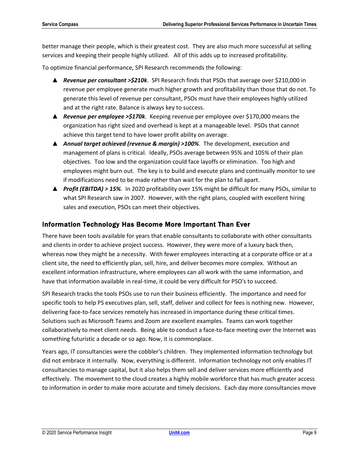better manage their people, which is their greatest cost. They are also much more successful at selling services and keeping their people highly utilized. All of this adds up to increased profitability.

To optimize financial performance, SPI Research recommends the following:

- ▲ *Revenue per consultant >\$210k*. SPI Research finds that PSOs that average over \$210,000 in revenue per employee generate much higher growth and profitability than those that do not. To generate this level of revenue per consultant, PSOs must have their employees highly utilized and at the right rate. Balance is always key to success.
- ▲ *Revenue per employee >\$170k*. Keeping revenue per employee over \$170,000 means the organization has right sized and overhead is kept at a manageable level. PSOs that cannot achieve this target tend to have lower profit ability on average.
- ▲ *Annual target achieved (revenue & margin) >100%*. The development, execution and management of plans is critical. Ideally, PSOs average between 95% and 105% of their plan objectives. Too low and the organization could face layoffs or elimination. Too high and employees might burn out. The key is to build and execute plans and continually monitor to see if modifications need to be made rather than wait for the plan to fall apart.
- ▲ *Profit (EBITDA) > 15%*. In 2020 profitability over 15% might be difficult for many PSOs, similar to what SPI Research saw in 2007. However, with the right plans, coupled with excellent hiring sales and execution, PSOs can meet their objectives.

## <span id="page-10-0"></span>Information Technology Has Become More Important Than Ever

There have been tools available for years that enable consultants to collaborate with other consultants and clients in order to achieve project success. However, they were more of a luxury back then, whereas now they might be a necessity. With fewer employees interacting at a corporate office or at a client site, the need to efficiently plan, sell, hire, and deliver becomes more complex. Without an excellent information infrastructure, where employees can all work with the same information, and have that information available in real-time, it could be very difficult for PSO's to succeed.

SPI Research tracks the tools PSOs use to run their business efficiently. The importance and need for specific tools to help PS executives plan, sell, staff, deliver and collect for fees is nothing new. However, delivering face-to-face services remotely has increased in importance during these critical times. Solutions such as Microsoft Teams and Zoom are excellent examples. Teams can work together collaboratively to meet client needs. Being able to conduct a face-to-face meeting over the Internet was something futuristic a decade or so ago. Now, it is commonplace.

Years ago, IT consultancies were the cobbler's children. They implemented information technology but did not embrace it internally. Now, everything is different. Information technology not only enables IT consultancies to manage capital, but it also helps them sell and deliver services more efficiently and effectively. The movement to the cloud creates a highly mobile workforce that has much greater access to information in order to make more accurate and timely decisions. Each day more consultancies move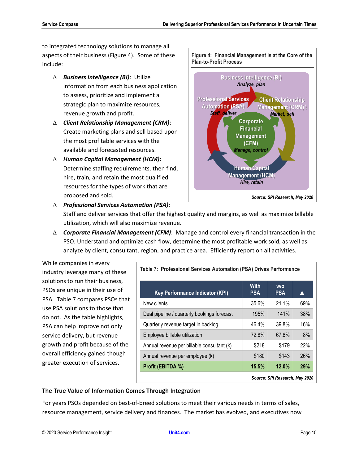to integrated technology solutions to manage all aspects of their business (Figure 4). Some of these include:

- *Business Intelligence (BI)*: Utilize information from each business application to assess, prioritize and implement a strategic plan to maximize resources, revenue growth and profit.
- *Client Relationship Management (CRM)*: Create marketing plans and sell based upon the most profitable services with the available and forecasted resources.
- *Human Capital Management (HCM)***:** Determine staffing requirements, then find, hire, train, and retain the most qualified resources for the types of work that are proposed and sold.

*Professional Services Automation (PSA)*:

<span id="page-11-1"></span>

Staff and deliver services that offer the highest quality and margins, as well as maximize billable utilization, which will also maximize revenue.

 *Corporate Financial Management (CFM)*: Manage and control every financial transaction in the PSO. Understand and optimize cash flow, determine the most profitable work sold, as well as analyze by client, consultant, region, and practice area. Efficiently report on all activities.

While companies in every industry leverage many of these solutions to run their business, PSOs are unique in their use of PSA. Table 7 compares PSOs that use PSA solutions to those that do not. As the table highlights, PSA can help improve not only service delivery, but revenue growth and profit because of the overall efficiency gained though greater execution of services.

<span id="page-11-2"></span>

| Table 7: Professional Services Automation (PSA) Drives Performance |                           |                      |     |
|--------------------------------------------------------------------|---------------------------|----------------------|-----|
| <b>Key Performance Indicator (KPI)</b>                             | <b>With</b><br><b>PSA</b> | $w$ /o<br><b>PSA</b> |     |
| New clients                                                        | 35.6%                     | 21.1%                | 69% |
| Deal pipeline / quarterly bookings forecast                        | 195%                      | 141%                 | 38% |
| Quarterly revenue target in backlog                                | 46.4%                     | 39.8%                | 16% |
| Employee billable utilization                                      | 72.8%                     | 67.6%                | 8%  |
| Annual revenue per billable consultant (k)                         | \$218                     | \$179                | 22% |
| Annual revenue per employee (k)                                    | \$180                     | \$143                | 26% |
| Profit (EBITDA %)                                                  | 15.5%                     | 12.0%                | 29% |
| Source: SPI Research, May 2020                                     |                           |                      |     |

#### <span id="page-11-0"></span>The True Value of Information Comes Through Integration

For years PSOs depended on best-of-breed solutions to meet their various needs in terms of sales, resource management, service delivery and finances. The market has evolved, and executives now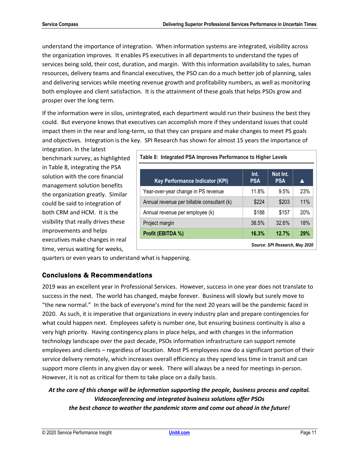understand the importance of integration. When information systems are integrated, visibility across the organization improves. It enables PS executives in all departments to understand the types of services being sold, their cost, duration, and margin. With this information availability to sales, human resources, delivery teams and financial executives, the PSO can do a much better job of planning, sales and delivering services while meeting revenue growth and profitability numbers, as well as monitoring both employee and client satisfaction. It is the attainment of these goals that helps PSOs grow and prosper over the long term.

If the information were in silos, unintegrated, each department would run their business the best they could. But everyone knows that executives can accomplish more if they understand issues that could impact them in the near and long-term, so that they can prepare and make changes to meet PS goals and objectives. Integration is the key. SPI Research has shown for almost 15 years the importance of

integration. In the latest benchmark survey, as highlighted in Table 8, integrating the PSA solution with the core financial management solution benefits the organization greatly. Similar could be said to integration of both CRM and HCM. It is the visibility that really drives these improvements and helps executives make changes in real time, versus waiting for weeks,

<span id="page-12-1"></span>

| Table 8: Integrated PSA Improves Performance to Higher Levels |                    |                        |            |  |
|---------------------------------------------------------------|--------------------|------------------------|------------|--|
| <b>Key Performance Indicator (KPI)</b>                        | Int.<br><b>PSA</b> | Not Int.<br><b>PSA</b> |            |  |
| Year-over-year change in PS revenue                           | 11.8%              | 9.5%                   | 23%        |  |
| Annual revenue per billable consultant (k)                    | \$224              | \$203                  | 11%        |  |
| Annual revenue per employee (k)                               | \$188              | \$157                  | 20%        |  |
| Project margin                                                | 38.5%              | 32.6%                  | 18%        |  |
| Profit (EBITDA %)                                             | 16.3%              | 12.7%                  | <b>29%</b> |  |
| Source: SPI Research, May 2020                                |                    |                        |            |  |

quarters or even years to understand what is happening.

# <span id="page-12-0"></span>Conclusions & Recommendations

2019 was an excellent year in Professional Services. However, success in one year does not translate to success in the next. The world has changed, maybe forever. Business will slowly but surely move to "the new normal." In the back of everyone's mind for the next 20 years will be the pandemic faced in 2020. As such, it is imperative that organizations in every industry plan and prepare contingencies for what could happen next. Employees safety is number one, but ensuring business continuity is also a very high priority. Having contingency plans in place helps, and with changes in the information technology landscape over the past decade, PSOs information infrastructure can support remote employees and clients – regardless of location. Most PS employees now do a significant portion of their service delivery remotely, which increases overall efficiency as they spend less time in transit and can support more clients in any given day or week. There will always be a need for meetings in-person. However, it is not as critical for them to take place on a daily basis.

# *At the core of this change will be information supporting the people, business process and capital. Videoconferencing and integrated business solutions offer PSOs the best chance to weather the pandemic storm and come out ahead in the future!*